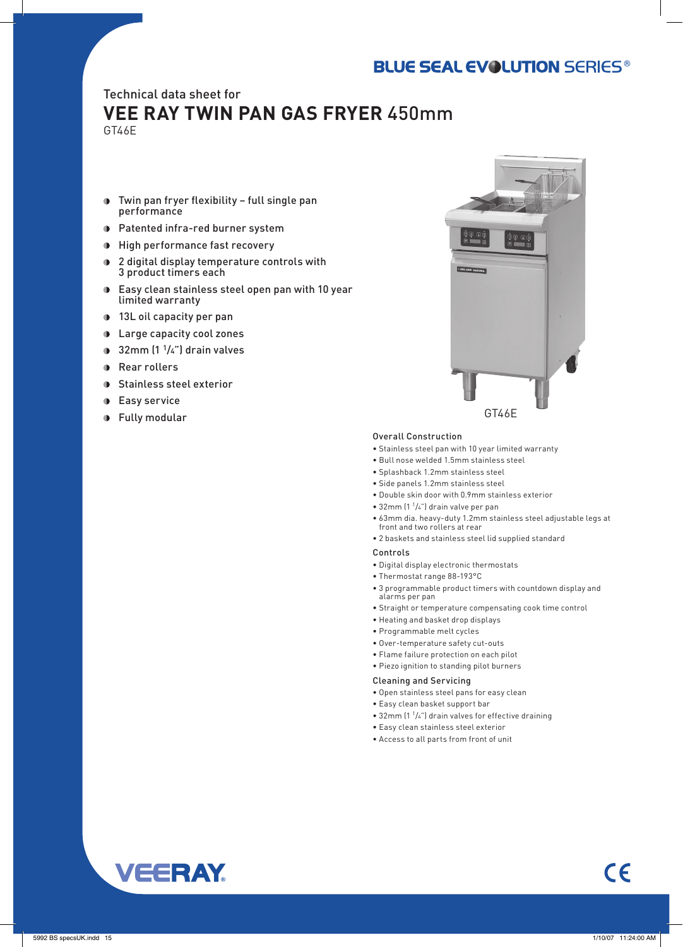# **BLUE SEAL EVOLUTION SERIES®**

# Technical data sheet for

# **VEE RAY TWIN PAN GAS FRYER** 450mm

GT46E

#### Twin pan fryer flexibility – full single pan  $\bullet$ performance

- Patented infra-red burner system
- **High performance fast recovery**
- 2 digital display temperature controls with  $\bullet$ 3 product timers each
- Easy clean stainless steel open pan with 10 year limited warranty
- **13L oil capacity per pan**
- **D** Large capacity cool zones
- $\bullet$  32mm (1  $1/4$ ") drain valves
- **Rear rollers**
- **Stainless steel exterior**
- **Easy service**
- Fully modular



# Overall Construction

- Stainless steel pan with 10 year limited warranty
- Bull nose welded 1.5mm stainless steel
- Splashback 1.2mm stainless steel
- Side panels 1.2mm stainless steel
- Double skin door with 0.9mm stainless exterior
- $\bullet$  32mm (1  $\frac{1}{4}$ ) drain valve per pan
- 63mm dia. heavy-duty 1.2mm stainless steel adjustable legs at front and two rollers at rear
- 2 baskets and stainless steel lid supplied standard

## Controls

- Digital display electronic thermostats
- Thermostat range 88-193°C
- 3 programmable product timers with countdown display and alarms per pan
- • Straight or temperature compensating cook time control
- Heating and basket drop displays
- Programmable melt cycles
- Over-temperature safety cut-outs
- Flame failure protection on each pilot
- Piezo ignition to standing pilot burners

### Cleaning and Servicing

- Open stainless steel pans for easy clean
- Easy clean basket support bar
- 32mm  $(1<sup>1</sup>/4<sup>n</sup>)$  drain valves for effective draining
- Easy clean stainless steel exterior
- Access to all parts from front of unit